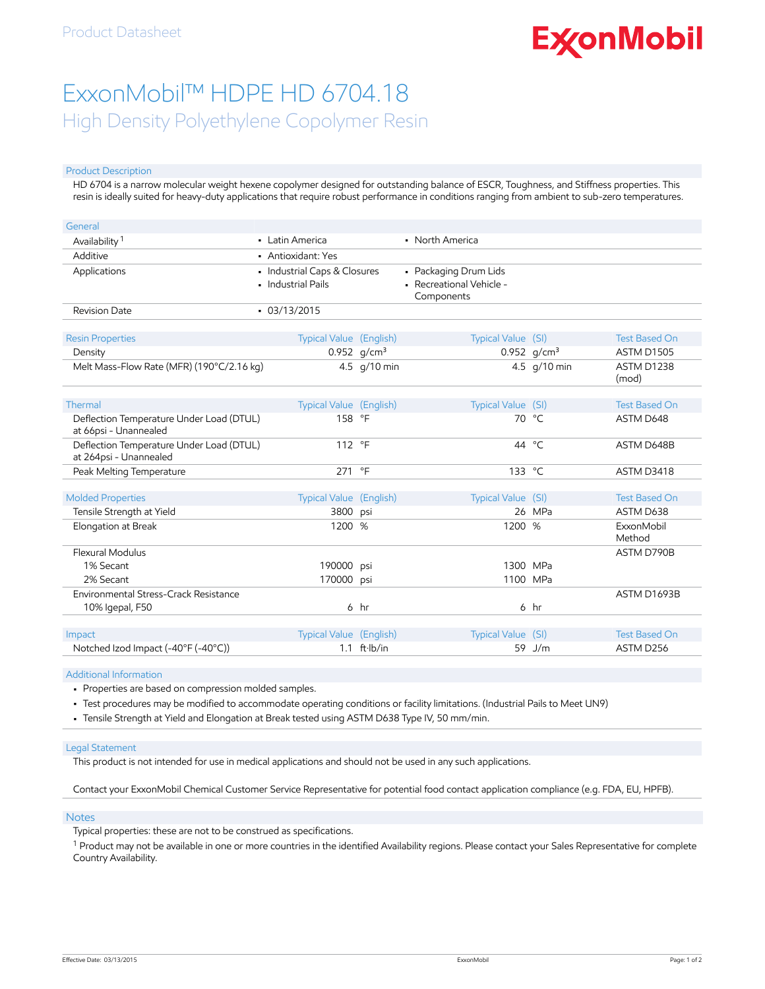# **ExconMobil**

## ExxonMobil™ HDPE HD 6704.18 High Density Polyethylene Copolymer Resin

#### Product Description

HD 6704 is a narrow molecular weight hexene copolymer designed for outstanding balance of ESCR, Toughness, and Stiffness properties. This resin is ideally suited for heavy-duty applications that require robust performance in conditions ranging from ambient to sub-zero temperatures.

| General                                                            |                                                    |                        |                                                                 |                |                      |
|--------------------------------------------------------------------|----------------------------------------------------|------------------------|-----------------------------------------------------------------|----------------|----------------------|
| Availability <sup>1</sup>                                          | • Latin America                                    |                        | • North America                                                 |                |                      |
| Additive                                                           | • Antioxidant: Yes                                 |                        |                                                                 |                |                      |
| Applications                                                       | • Industrial Caps & Closures<br>• Industrial Pails |                        | • Packaging Drum Lids<br>- Recreational Vehicle -<br>Components |                |                      |
| <b>Revision Date</b>                                               | $-03/13/2015$                                      |                        |                                                                 |                |                      |
| <b>Resin Properties</b>                                            | <b>Typical Value (English)</b>                     |                        | Typical Value (SI)                                              |                | <b>Test Based On</b> |
| Density                                                            |                                                    | 0.952 $q/cm^3$         |                                                                 | 0.952 $g/cm^3$ | <b>ASTM D1505</b>    |
| Melt Mass-Flow Rate (MFR) (190°C/2.16 kg)                          |                                                    | 4.5 g/10 min           |                                                                 | 4.5 g/10 min   | ASTM D1238<br>(mod)  |
| Thermal                                                            | Typical Value (English)                            |                        | Typical Value (SI)                                              |                | <b>Test Based On</b> |
| Deflection Temperature Under Load (DTUL)<br>at 66psi - Unannealed  | 158 °F                                             |                        |                                                                 | 70 °C          | ASTM D648            |
| Deflection Temperature Under Load (DTUL)<br>at 264psi - Unannealed | 112 °F                                             |                        | 44                                                              | °⊂             | ASTM D648B           |
| Peak Melting Temperature                                           | 271                                                | $\circ$ F              | 133 °C                                                          |                | ASTM D3418           |
|                                                                    |                                                    |                        |                                                                 |                |                      |
| <b>Molded Properties</b>                                           | Typical Value (English)                            |                        | Typical Value (SI)                                              |                | <b>Test Based On</b> |
| Tensile Strength at Yield                                          | 3800                                               | psi                    |                                                                 | 26 MPa         | ASTM D638            |
| Elongation at Break                                                | 1200 %                                             |                        | 1200 %                                                          |                | ExxonMobil<br>Method |
| Flexural Modulus                                                   |                                                    |                        |                                                                 |                | ASTM D790B           |
| 1% Secant                                                          | 190000                                             | psi                    |                                                                 | 1300 MPa       |                      |
| 2% Secant                                                          | 170000                                             | psi                    |                                                                 | 1100 MPa       |                      |
| Environmental Stress-Crack Resistance                              |                                                    |                        |                                                                 |                | ASTM D1693B          |
| 10% Igepal, F50                                                    |                                                    | $6$ hr                 |                                                                 | 6 hr           |                      |
|                                                                    |                                                    |                        |                                                                 |                |                      |
| Impact                                                             | <b>Typical Value</b> (English)                     |                        | Typical Value (SI)                                              |                | <b>Test Based On</b> |
| Notched Izod Impact (-40°F (-40°C))                                |                                                    | $1.1$ ft $\cdot$ lb/in |                                                                 | 59 J/m         | ASTM D256            |

#### Additional Information

• Properties are based on compression molded samples.

• Test procedures may be modified to accommodate operating conditions or facility limitations. (Industrial Pails to Meet UN9)

• Tensile Strength at Yield and Elongation at Break tested using ASTM D638 Type IV, 50 mm/min.

#### Legal Statement

This product is not intended for use in medical applications and should not be used in any such applications.

Contact your ExxonMobil Chemical Customer Service Representative for potential food contact application compliance (e.g. FDA, EU, HPFB).

#### **Notes**

Typical properties: these are not to be construed as specifications.

 $^1$  Product may not be available in one or more countries in the identified Availability regions. Please contact your Sales Representative for complete Country Availability.